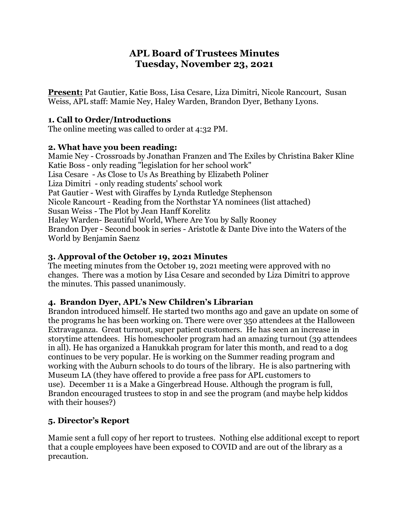# **APL Board of Trustees Minutes Tuesday, November 23, 2021**

**Present:** Pat Gautier, Katie Boss, Lisa Cesare, Liza Dimitri, Nicole Rancourt, Susan Weiss, APL staff: Mamie Ney, Haley Warden, Brandon Dyer, Bethany Lyons.

## **1. Call to Order/Introductions**

The online meeting was called to order at 4:32 PM.

# **2. What have you been reading:**

Mamie Ney - Crossroads by Jonathan Franzen and The Exiles by Christina Baker Kline Katie Boss - only reading "legislation for her school work" Lisa Cesare - As Close to Us As Breathing by Elizabeth Poliner Liza Dimitri - only reading students' school work Pat Gautier - West with Giraffes by Lynda Rutledge Stephenson Nicole Rancourt - Reading from the Northstar YA nominees (list attached) Susan Weiss - The Plot by Jean Hanff Korelitz Haley Warden- Beautiful World, Where Are You by Sally Rooney Brandon Dyer - Second book in series - Aristotle & Dante Dive into the Waters of the World by Benjamin Saenz

# **3. Approval of the October 19, 2021 Minutes**

The meeting minutes from the October 19, 2021 meeting were approved with no changes. There was a motion by Lisa Cesare and seconded by Liza Dimitri to approve the minutes. This passed unanimously.

# **4. Brandon Dyer, APL's New Children's Librarian**

Brandon introduced himself. He started two months ago and gave an update on some of the programs he has been working on. There were over 350 attendees at the Halloween Extravaganza. Great turnout, super patient customers. He has seen an increase in storytime attendees. His homeschooler program had an amazing turnout (39 attendees in all). He has organized a Hanukkah program for later this month, and read to a dog continues to be very popular. He is working on the Summer reading program and working with the Auburn schools to do tours of the library. He is also partnering with Museum LA (they have offered to provide a free pass for APL customers to use). December 11 is a Make a Gingerbread House. Although the program is full, Brandon encouraged trustees to stop in and see the program (and maybe help kiddos with their houses?)

# **5. Director's Report**

Mamie sent a full copy of her report to trustees. Nothing else additional except to report that a couple employees have been exposed to COVID and are out of the library as a precaution.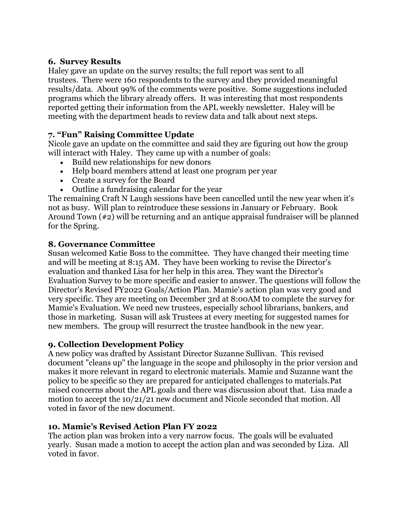## **6. Survey Results**

Haley gave an update on the survey results; the full report was sent to all trustees. There were 160 respondents to the survey and they provided meaningful results/data. About 99% of the comments were positive. Some suggestions included programs which the library already offers. It was interesting that most respondents reported getting their information from the APL weekly newsletter. Haley will be meeting with the department heads to review data and talk about next steps.

# **7. "Fun" Raising Committee Update**

Nicole gave an update on the committee and said they are figuring out how the group will interact with Haley. They came up with a number of goals:

- Build new relationships for new donors
- Help board members attend at least one program per year
- Create a survey for the Board
- Outline a fundraising calendar for the year

The remaining Craft N Laugh sessions have been cancelled until the new year when it's not as busy. Will plan to reintroduce these sessions in January or February. Book Around Town (#2) will be returning and an antique appraisal fundraiser will be planned for the Spring.

## **8. Governance Committee**

Susan welcomed Katie Boss to the committee. They have changed their meeting time and will be meeting at 8:15 AM. They have been working to revise the Director's evaluation and thanked Lisa for her help in this area. They want the Director's Evaluation Survey to be more specific and easier to answer. The questions will follow the Director's Revised FY2022 Goals/Action Plan. Mamie's action plan was very good and very specific. They are meeting on December 3rd at 8:00AM to complete the survey for Mamie's Evaluation. We need new trustees, especially school librarians, bankers, and those in marketing. Susan will ask Trustees at every meeting for suggested names for new members. The group will resurrect the trustee handbook in the new year.

### **9. Collection Development Policy**

A new policy was drafted by Assistant Director Suzanne Sullivan. This revised document "cleans up" the language in the scope and philosophy in the prior version and makes it more relevant in regard to electronic materials. Mamie and Suzanne want the policy to be specific so they are prepared for anticipated challenges to materials.Pat raised concerns about the APL goals and there was discussion about that. Lisa made a motion to accept the 10/21/21 new document and Nicole seconded that motion. All voted in favor of the new document.

## **10. Mamie's Revised Action Plan FY 2022**

The action plan was broken into a very narrow focus. The goals will be evaluated yearly. Susan made a motion to accept the action plan and was seconded by Liza. All voted in favor.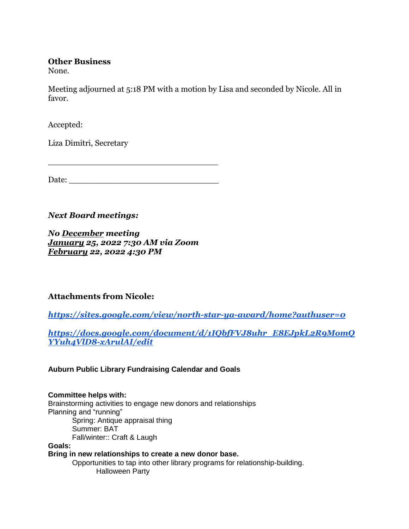### **Other Business**

None.

Meeting adjourned at 5:18 PM with a motion by Lisa and seconded by Nicole. All in favor.

Accepted:

Liza Dimitri, Secretary

Date:

\_\_\_\_\_\_\_\_\_\_\_\_\_\_\_\_\_\_\_\_\_\_\_\_\_\_\_\_\_\_\_\_\_

## *Next Board meetings:*

*No December meeting January 25, 2022 7:30 AM via Zoom February 22, 2022 4:30 PM*

## **Attachments from Nicole:**

*<https://sites.google.com/view/north-star-ya-award/home?authuser=0>*

*[https://docs.google.com/document/d/1IQbfFVJ8uhr\\_E8EJpkL2R9MomQ](https://docs.google.com/document/d/1IQbfFVJ8uhr_E8EJpkL2R9MomQYYuh4VlD8-xArulAI/edit) [YYuh4VlD8-xArulAI/edit](https://docs.google.com/document/d/1IQbfFVJ8uhr_E8EJpkL2R9MomQYYuh4VlD8-xArulAI/edit)*

**Auburn Public Library Fundraising Calendar and Goals**

### **Committee helps with:**

Brainstorming activities to engage new donors and relationships Planning and "running" Spring: Antique appraisal thing Summer: BAT Fall/winter:: Craft & Laugh

**Goals:**

**Bring in new relationships to create a new donor base.**

Opportunities to tap into other library programs for relationship-building. Halloween Party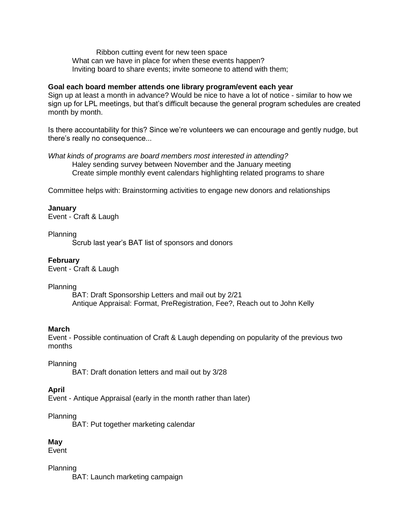Ribbon cutting event for new teen space What can we have in place for when these events happen? Inviting board to share events; invite someone to attend with them;

#### **Goal each board member attends one library program/event each year**

Sign up at least a month in advance? Would be nice to have a lot of notice - similar to how we sign up for LPL meetings, but that's difficult because the general program schedules are created month by month.

Is there accountability for this? Since we're volunteers we can encourage and gently nudge, but there's really no consequence...

*What kinds of programs are board members most interested in attending?* Haley sending survey between November and the January meeting Create simple monthly event calendars highlighting related programs to share

Committee helps with: Brainstorming activities to engage new donors and relationships

#### **January**

Event - Craft & Laugh

#### Planning

Scrub last year's BAT list of sponsors and donors

#### **February**

Event - Craft & Laugh

#### Planning

BAT: Draft Sponsorship Letters and mail out by 2/21 Antique Appraisal: Format, PreRegistration, Fee?, Reach out to John Kelly

#### **March**

Event - Possible continuation of Craft & Laugh depending on popularity of the previous two months

#### Planning

BAT: Draft donation letters and mail out by 3/28

#### **April**

Event - Antique Appraisal (early in the month rather than later)

### Planning

BAT: Put together marketing calendar

### **May**

Event

Planning

BAT: Launch marketing campaign